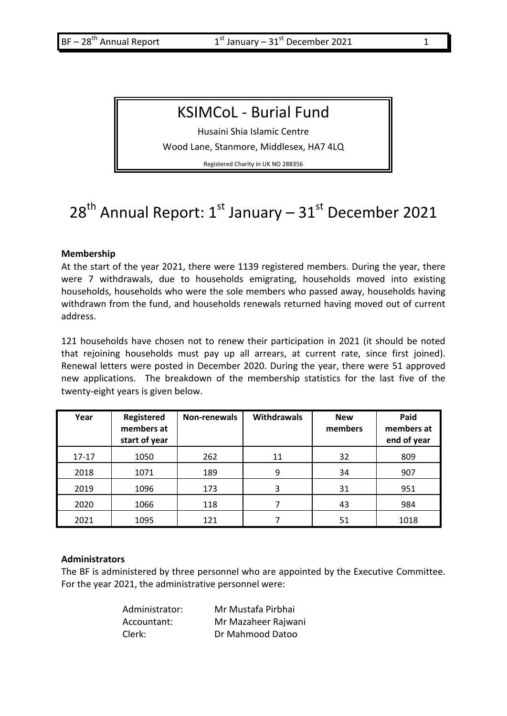## KSIMCoL - Burial Fund

Husaini Shia Islamic Centre

Wood Lane, Stanmore, Middlesex, HA7 4LQ

Registered Charity in UK NO 288356

# 28<sup>th</sup> Annual Report: 1<sup>st</sup> January – 31<sup>st</sup> December 2021

#### **Membership**

At the start of the year 2021, there were 1139 registered members. During the year, there were 7 withdrawals, due to households emigrating, households moved into existing households, households who were the sole members who passed away, households having withdrawn from the fund, and households renewals returned having moved out of current address.

121 households have chosen not to renew their participation in 2021 (it should be noted that rejoining households must pay up all arrears, at current rate, since first joined). Renewal letters were posted in December 2020. During the year, there were 51 approved new applications. The breakdown of the membership statistics for the last five of the twenty-eight years is given below.

| Year      | Registered<br>members at<br>start of year | Non-renewals | <b>Withdrawals</b> | <b>New</b><br>members | Paid<br>members at<br>end of year |
|-----------|-------------------------------------------|--------------|--------------------|-----------------------|-----------------------------------|
| $17 - 17$ | 1050                                      | 262          | 11                 | 32                    | 809                               |
| 2018      | 1071                                      | 189          | 9                  | 34                    | 907                               |
| 2019      | 1096                                      | 173          | 3                  | 31                    | 951                               |
| 2020      | 1066                                      | 118          |                    | 43                    | 984                               |
| 2021      | 1095                                      | 121          |                    | 51                    | 1018                              |

#### **Administrators**

The BF is administered by three personnel who are appointed by the Executive Committee. For the year 2021, the administrative personnel were:

| Administrator: | Mr Mustafa Pirbhai  |
|----------------|---------------------|
| Accountant:    | Mr Mazaheer Rajwani |
| Clerk:         | Dr Mahmood Datoo    |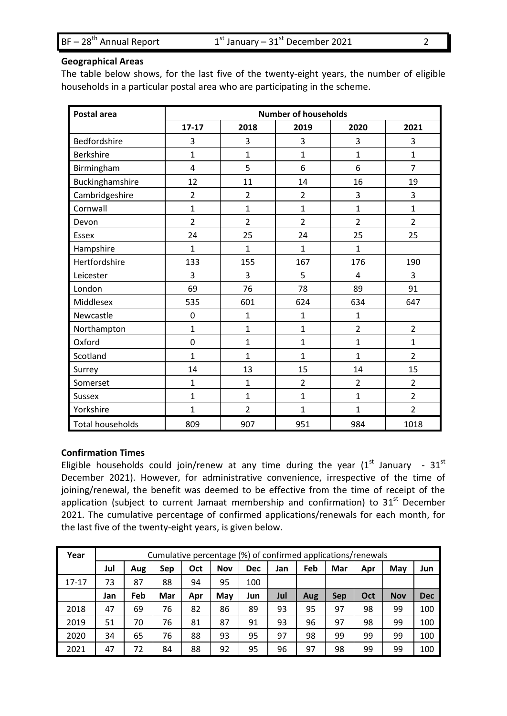| $BF - 28th$ Annual Report |  |
|---------------------------|--|
|---------------------------|--|

#### **Geographical Areas**

The table below shows, for the last five of the twenty-eight years, the number of eligible households in a particular postal area who are participating in the scheme.

| Postal area             | <b>Number of households</b> |                |                |                |                |  |  |  |
|-------------------------|-----------------------------|----------------|----------------|----------------|----------------|--|--|--|
|                         | $17 - 17$                   | 2018           | 2019           | 2020           | 2021           |  |  |  |
| Bedfordshire            | 3                           | 3              | 3              | 3              | 3              |  |  |  |
| <b>Berkshire</b>        | $\mathbf 1$                 | 1              | $\mathbf{1}$   | $\mathbf{1}$   | 1              |  |  |  |
| Birmingham              | $\overline{4}$              | 5              | 6              | 6              | $\overline{7}$ |  |  |  |
| Buckinghamshire         | 12                          | 11             | 14             | 16             | 19             |  |  |  |
| Cambridgeshire          | $\overline{2}$              | $\overline{2}$ | $\overline{2}$ | 3              | 3              |  |  |  |
| Cornwall                | $\mathbf{1}$                | $\mathbf{1}$   | $\overline{1}$ | $\mathbf{1}$   | 1              |  |  |  |
| Devon                   | $\overline{2}$              | $\overline{2}$ | $\overline{2}$ | $\overline{2}$ | $\overline{2}$ |  |  |  |
| Essex                   | 24                          | 25             | 24             | 25             | 25             |  |  |  |
| Hampshire               | $\mathbf{1}$                | $\mathbf{1}$   | $\mathbf{1}$   | $\mathbf{1}$   |                |  |  |  |
| Hertfordshire           | 133                         | 155            | 167            | 176            | 190            |  |  |  |
| Leicester               | 3                           | 3              | 5              | $\overline{4}$ | 3              |  |  |  |
| London                  | 69                          | 76             | 78             | 89             | 91             |  |  |  |
| Middlesex               | 535                         | 601            | 624            | 634            | 647            |  |  |  |
| Newcastle               | 0                           | 1              | $\overline{1}$ | 1              |                |  |  |  |
| Northampton             | 1                           | 1              | $\overline{1}$ | $\overline{2}$ | $\overline{2}$ |  |  |  |
| Oxford                  | $\mathbf 0$                 | $\mathbf{1}$   | $\mathbf{1}$   | $\mathbf{1}$   | $\mathbf{1}$   |  |  |  |
| Scotland                | 1                           | $\mathbf{1}$   | $\mathbf{1}$   | $\mathbf{1}$   | $\overline{2}$ |  |  |  |
| Surrey                  | 14                          | 13             | 15             | 14             | 15             |  |  |  |
| Somerset                | $\mathbf{1}$                | $\mathbf{1}$   | $\overline{2}$ | $\overline{2}$ | $\overline{2}$ |  |  |  |
| Sussex                  | $\mathbf 1$                 | $\overline{1}$ | $\mathbf{1}$   | $\mathbf{1}$   | $\overline{2}$ |  |  |  |
| Yorkshire               | $\mathbf 1$                 | $\overline{2}$ | $\mathbf{1}$   | 1              | $\overline{2}$ |  |  |  |
| <b>Total households</b> | 809                         | 907            | 951            | 984            | 1018           |  |  |  |

#### **Confirmation Times**

Eligible households could join/renew at any time during the year  $(1^{st}$  January -  $31^{st}$ December 2021). However, for administrative convenience, irrespective of the time of joining/renewal, the benefit was deemed to be effective from the time of receipt of the application (subject to current Jamaat membership and confirmation) to 31<sup>st</sup> December 2021. The cumulative percentage of confirmed applications/renewals for each month, for the last five of the twenty-eight years, is given below.

| Year      |     | Cumulative percentage (%) of confirmed applications/renewals |     |     |            |            |     |     |            |     |            |            |
|-----------|-----|--------------------------------------------------------------|-----|-----|------------|------------|-----|-----|------------|-----|------------|------------|
|           | Jul | Aug                                                          | Sep | Oct | <b>Nov</b> | <b>Dec</b> | Jan | Feb | Mar        | Apr | May        | Jun        |
| $17 - 17$ | 73  | 87                                                           | 88  | 94  | 95         | 100        |     |     |            |     |            |            |
|           | Jan | Feb                                                          | Mar | Apr | May        | Jun        | Jul | Aug | <b>Sep</b> | Oct | <b>Nov</b> | <b>Dec</b> |
| 2018      | 47  | 69                                                           | 76  | 82  | 86         | 89         | 93  | 95  | 97         | 98  | 99         | 100        |
| 2019      | 51  | 70                                                           | 76  | 81  | 87         | 91         | 93  | 96  | 97         | 98  | 99         | 100        |
| 2020      | 34  | 65                                                           | 76  | 88  | 93         | 95         | 97  | 98  | 99         | 99  | 99         | 100        |
| 2021      | 47  | 72                                                           | 84  | 88  | 92         | 95         | 96  | 97  | 98         | 99  | 99         | 100        |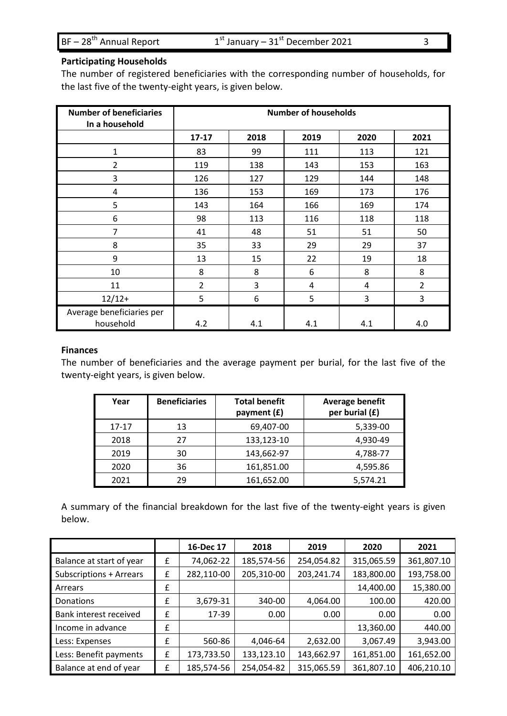$BF - 28<sup>th</sup>$  Annual Report

### **Participating Households**

The number of registered beneficiaries with the corresponding number of households, for the last five of the twenty-eight years, is given below.

| <b>Number of beneficiaries</b><br>In a household | <b>Number of households</b> |      |      |      |                |  |
|--------------------------------------------------|-----------------------------|------|------|------|----------------|--|
|                                                  | $17 - 17$                   | 2018 | 2019 | 2020 | 2021           |  |
| 1                                                | 83                          | 99   | 111  | 113  | 121            |  |
| $\overline{2}$                                   | 119                         | 138  | 143  | 153  | 163            |  |
| 3                                                | 126                         | 127  | 129  | 144  | 148            |  |
| 4                                                | 136                         | 153  | 169  | 173  | 176            |  |
| 5                                                | 143                         | 164  | 166  | 169  | 174            |  |
| 6                                                | 98                          | 113  | 116  | 118  | 118            |  |
| 7                                                | 41                          | 48   | 51   | 51   | 50             |  |
| 8                                                | 35                          | 33   | 29   | 29   | 37             |  |
| 9                                                | 13                          | 15   | 22   | 19   | 18             |  |
| 10                                               | 8                           | 8    | 6    | 8    | 8              |  |
| 11                                               | $\overline{2}$              | 3    | 4    | 4    | $\overline{2}$ |  |
| $12/12+$                                         | 5                           | 6    | 5    | 3    | 3              |  |
| Average beneficiaries per<br>household           | 4.2                         | 4.1  | 4.1  | 4.1  | 4.0            |  |

#### **Finances**

The number of beneficiaries and the average payment per burial, for the last five of the twenty-eight years, is given below.

| Year      | <b>Beneficiaries</b> | <b>Total benefit</b><br>payment (£) | Average benefit<br>per burial (£) |
|-----------|----------------------|-------------------------------------|-----------------------------------|
| $17 - 17$ | 13                   | 69,407-00                           | 5,339-00                          |
| 2018      | 27                   | 133,123-10                          | 4,930-49                          |
| 2019      | 30                   | 143,662-97                          | 4,788-77                          |
| 2020      | 36                   | 161,851.00                          | 4,595.86                          |
| 2021      | 29                   | 161,652.00                          | 5,574.21                          |

A summary of the financial breakdown for the last five of the twenty-eight years is given below.

|                          |   | 16-Dec 17  | 2018       | 2019       | 2020       | 2021       |
|--------------------------|---|------------|------------|------------|------------|------------|
| Balance at start of year | £ | 74,062-22  | 185,574-56 | 254,054.82 | 315,065.59 | 361,807.10 |
| Subscriptions + Arrears  | £ | 282,110-00 | 205,310-00 | 203,241.74 | 183,800.00 | 193,758.00 |
| Arrears                  | £ |            |            |            | 14,400.00  | 15,380.00  |
| Donations                | £ | 3,679-31   | 340-00     | 4,064.00   | 100.00     | 420.00     |
| Bank interest received   | £ | 17-39      | 0.00       | 0.00       | 0.00       | 0.00       |
| Income in advance        | £ |            |            |            | 13,360.00  | 440.00     |
| Less: Expenses           | £ | 560-86     | 4,046-64   | 2,632.00   | 3,067.49   | 3,943.00   |
| Less: Benefit payments   | £ | 173,733.50 | 133,123.10 | 143,662.97 | 161,851.00 | 161,652.00 |
| Balance at end of year   | £ | 185,574-56 | 254,054-82 | 315,065.59 | 361,807.10 | 406,210.10 |